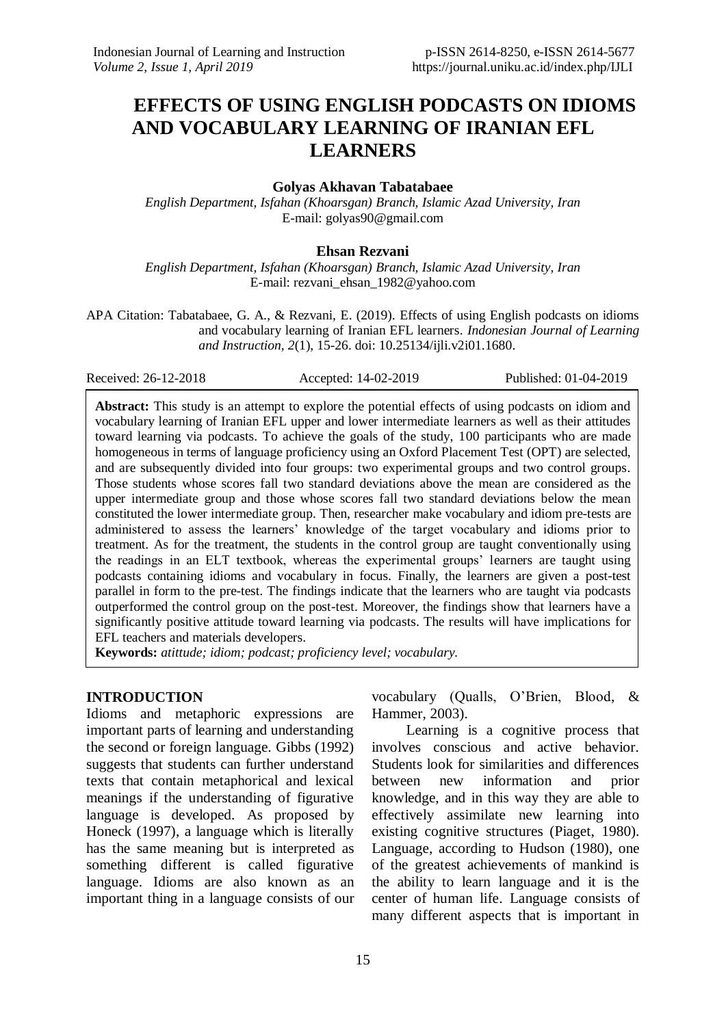# **EFFECTS OF USING ENGLISH PODCASTS ON IDIOMS AND VOCABULARY LEARNING OF IRANIAN EFL LEARNERS**

### **Golyas Akhavan Tabatabaee**

*English Department, Isfahan (Khoarsgan) Branch, Islamic Azad University, Iran* E-mail: [golyas90@gmail.com](mailto:golyas90@gmail.com)

### **Ehsan Rezvani**

*English Department, Isfahan (Khoarsgan) Branch, Islamic Azad University, Iran* E-mail: [rezvani\\_ehsan\\_1982@yahoo.com](mailto:rezvani_ehsan_1982@yahoo.com)

APA Citation: Tabatabaee, G. A., & Rezvani, E. (2019). Effects of using English podcasts on idioms and vocabulary learning of Iranian EFL learners. *Indonesian Journal of Learning and Instruction, 2*(1), 15-26. doi: [10.25134/ijli.v2i01.1680.](https://doi.org/10.25134/ijli.v2i01.1680)

Received: 26-12-2018 Accepted: 14-02-2019 Published: 01-04-2019

**Abstract:** This study is an attempt to explore the potential effects of using podcasts on idiom and vocabulary learning of Iranian EFL upper and lower intermediate learners as well as their attitudes toward learning via podcasts. To achieve the goals of the study, 100 participants who are made homogeneous in terms of language proficiency using an Oxford Placement Test (OPT) are selected, and are subsequently divided into four groups: two experimental groups and two control groups. Those students whose scores fall two standard deviations above the mean are considered as the upper intermediate group and those whose scores fall two standard deviations below the mean constituted the lower intermediate group. Then, researcher make vocabulary and idiom pre-tests are administered to assess the learners' knowledge of the target vocabulary and idioms prior to treatment. As for the treatment, the students in the control group are taught conventionally using the readings in an ELT textbook, whereas the experimental groups' learners are taught using podcasts containing idioms and vocabulary in focus. Finally, the learners are given a post-test parallel in form to the pre-test. The findings indicate that the learners who are taught via podcasts outperformed the control group on the post-test. Moreover, the findings show that learners have a significantly positive attitude toward learning via podcasts. The results will have implications for EFL teachers and materials developers.

**Keywords:** *atittude; idiom; podcast; proficiency level; vocabulary.*

### **INTRODUCTION**

Idioms and metaphoric expressions are important parts of learning and understanding the second or foreign language. Gibbs (1992) suggests that students can further understand texts that contain metaphorical and lexical meanings if the understanding of figurative language is developed. As proposed by Honeck (1997), a language which is literally has the same meaning but is interpreted as something different is called figurative language. Idioms are also known as an important thing in a language consists of our

vocabulary (Qualls, O'Brien, Blood, & Hammer, 2003).

Learning is a cognitive process that involves conscious and active behavior. Students look for similarities and differences between new information and prior knowledge, and in this way they are able to effectively assimilate new learning into existing cognitive structures (Piaget, 1980). Language, according to Hudson (1980), one of the greatest achievements of mankind is the ability to learn language and it is the center of human life. Language consists of many different aspects that is important in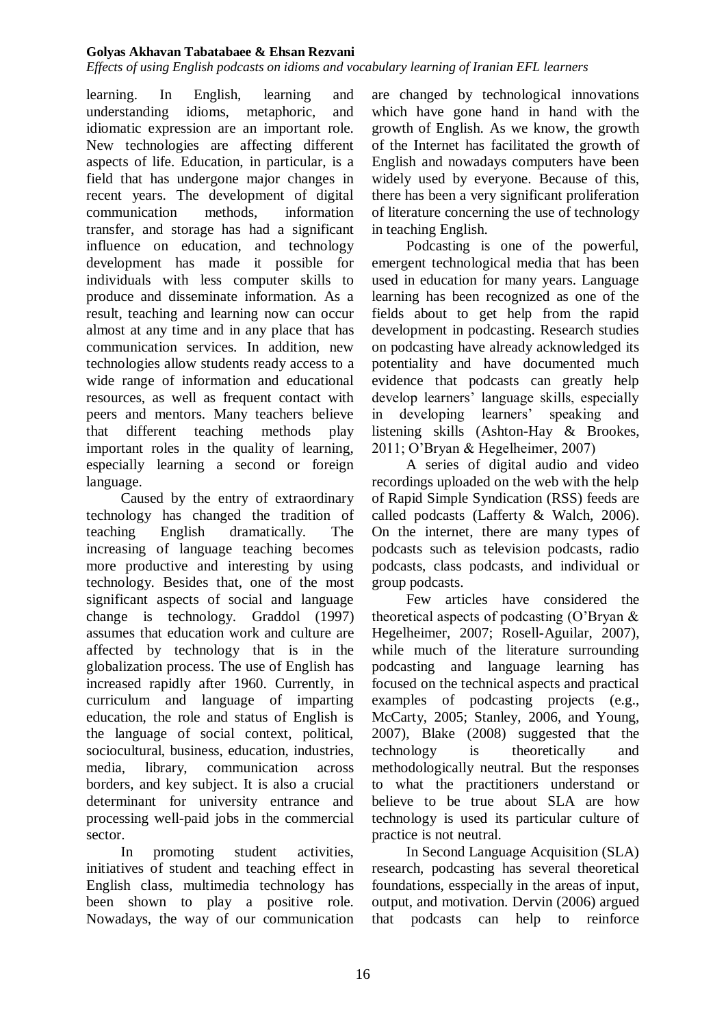*Effects of using English podcasts on idioms and vocabulary learning of Iranian EFL learners*

learning. In English, learning and understanding idioms, metaphoric, and idiomatic expression are an important role. New technologies are affecting different aspects of life. Education, in particular, is a field that has undergone major changes in recent years. The development of digital communication methods, information transfer, and storage has had a significant influence on education, and technology development has made it possible for individuals with less computer skills to produce and disseminate information. As a result, teaching and learning now can occur almost at any time and in any place that has communication services. In addition, new technologies allow students ready access to a wide range of information and educational resources, as well as frequent contact with peers and mentors. Many teachers believe that different teaching methods play important roles in the quality of learning, especially learning a second or foreign language.

Caused by the entry of extraordinary technology has changed the tradition of teaching English dramatically. The increasing of language teaching becomes more productive and interesting by using technology. Besides that, one of the most significant aspects of social and language change is technology. Graddol (1997) assumes that education work and culture are affected by technology that is in the globalization process. The use of English has increased rapidly after 1960. Currently, in curriculum and language of imparting education, the role and status of English is the language of social context, political, sociocultural, business, education, industries, media, library, communication across borders, and key subject. It is also a crucial determinant for university entrance and processing well-paid jobs in the commercial sector.

In promoting student activities, initiatives of student and teaching effect in English class, multimedia technology has been shown to play a positive role. Nowadays, the way of our communication are changed by technological innovations which have gone hand in hand with the growth of English. As we know, the growth of the Internet has facilitated the growth of English and nowadays computers have been widely used by everyone. Because of this, there has been a very significant proliferation of literature concerning the use of technology in teaching English.

Podcasting is one of the powerful, emergent technological media that has been used in education for many years. Language learning has been recognized as one of the fields about to get help from the rapid development in podcasting. Research studies on podcasting have already acknowledged its potentiality and have documented much evidence that podcasts can greatly help develop learners' language skills, especially in developing learners' speaking and listening skills (Ashton-Hay & Brookes, 2011; O'Bryan & Hegelheimer, 2007)

A series of digital audio and video recordings uploaded on the web with the help of Rapid Simple Syndication (RSS) feeds are called podcasts (Lafferty & Walch, 2006). On the internet, there are many types of podcasts such as television podcasts, radio podcasts, class podcasts, and individual or group podcasts.

Few articles have considered the theoretical aspects of podcasting (O'Bryan & Hegelheimer, 2007; Rosell-Aguilar, 2007), while much of the literature surrounding podcasting and language learning has focused on the technical aspects and practical examples of podcasting projects (e.g., McCarty, 2005; Stanley, 2006, and Young, 2007), Blake (2008) suggested that the technology is theoretically and methodologically neutral. But the responses to what the practitioners understand or believe to be true about SLA are how technology is used its particular culture of practice is not neutral.

In Second Language Acquisition (SLA) research, podcasting has several theoretical foundations, esspecially in the areas of input, output, and motivation. Dervin (2006) argued that podcasts can help to reinforce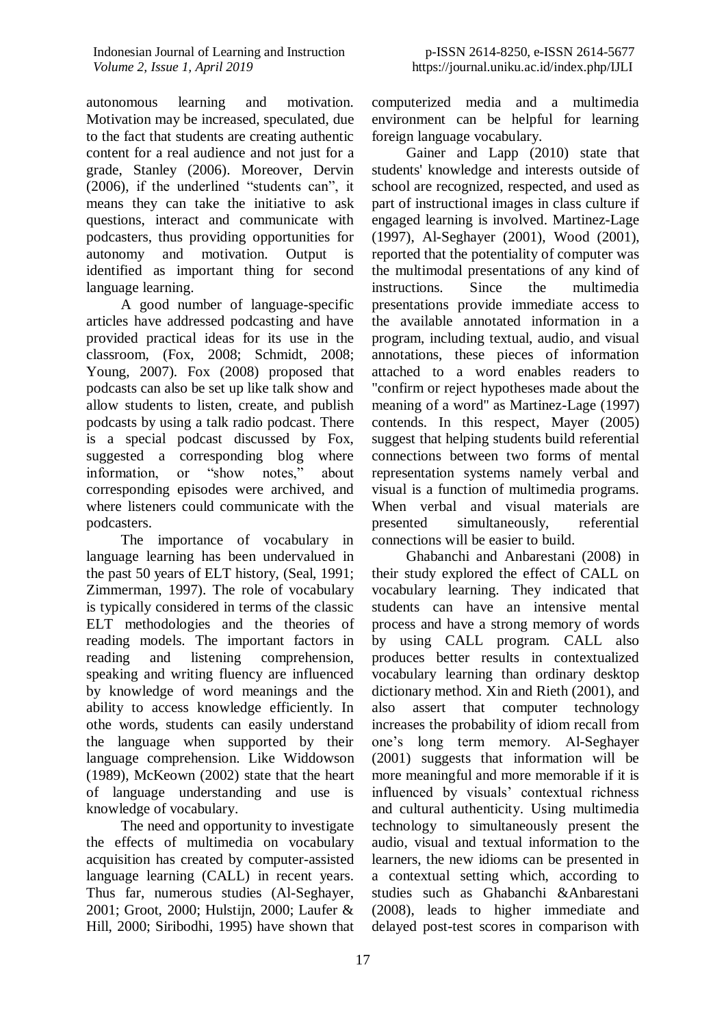autonomous learning and motivation. Motivation may be increased, speculated, due to the fact that students are creating authentic content for a real audience and not just for a grade, Stanley (2006). Moreover, Dervin (2006), if the underlined "students can", it means they can take the initiative to ask questions, interact and communicate with podcasters, thus providing opportunities for autonomy and motivation. Output is identified as important thing for second language learning.

A good number of language-specific articles have addressed podcasting and have provided practical ideas for its use in the classroom, (Fox, 2008; Schmidt, 2008; Young, 2007). Fox (2008) proposed that podcasts can also be set up like talk show and allow students to listen, create, and publish podcasts by using a talk radio podcast. There is a special podcast discussed by Fox, suggested a corresponding blog where information, or "show notes," about corresponding episodes were archived, and where listeners could communicate with the podcasters.

The importance of vocabulary in language learning has been undervalued in the past 50 years of ELT history, (Seal, 1991; Zimmerman, 1997). The role of vocabulary is typically considered in terms of the classic ELT methodologies and the theories of reading models. The important factors in reading and listening comprehension, speaking and writing fluency are influenced by knowledge of word meanings and the ability to access knowledge efficiently. In othe words, students can easily understand the language when supported by their language comprehension. Like Widdowson (1989), McKeown (2002) state that the heart of language understanding and use is knowledge of vocabulary.

The need and opportunity to investigate the effects of multimedia on vocabulary acquisition has created by computer-assisted language learning (CALL) in recent years. Thus far, numerous studies (Al-Seghayer, 2001; Groot, 2000; Hulstijn, 2000; Laufer & Hill, 2000; Siribodhi, 1995) have shown that

computerized media and a multimedia environment can be helpful for learning foreign language vocabulary.

Gainer and Lapp (2010) state that students' knowledge and interests outside of school are recognized, respected, and used as part of instructional images in class culture if engaged learning is involved. Martinez-Lage (1997), Al-Seghayer (2001), Wood (2001), reported that the potentiality of computer was the multimodal presentations of any kind of instructions. Since the multimedia presentations provide immediate access to the available annotated information in a program, including textual, audio, and visual annotations, these pieces of information attached to a word enables readers to "confirm or reject hypotheses made about the meaning of a word" as Martinez-Lage (1997) contends. In this respect, Mayer (2005) suggest that helping students build referential connections between two forms of mental representation systems namely verbal and visual is a function of multimedia programs. When verbal and visual materials are presented simultaneously, referential connections will be easier to build.

Ghabanchi and Anbarestani (2008) in their study explored the effect of CALL on vocabulary learning. They indicated that students can have an intensive mental process and have a strong memory of words by using CALL program. CALL also produces better results in contextualized vocabulary learning than ordinary desktop dictionary method. Xin and Rieth (2001), and also assert that computer technology increases the probability of idiom recall from one's long term memory. Al-Seghayer (2001) suggests that information will be more meaningful and more memorable if it is influenced by visuals' contextual richness and cultural authenticity. Using multimedia technology to simultaneously present the audio, visual and textual information to the learners, the new idioms can be presented in a contextual setting which, according to studies such as Ghabanchi &Anbarestani (2008), leads to higher immediate and delayed post-test scores in comparison with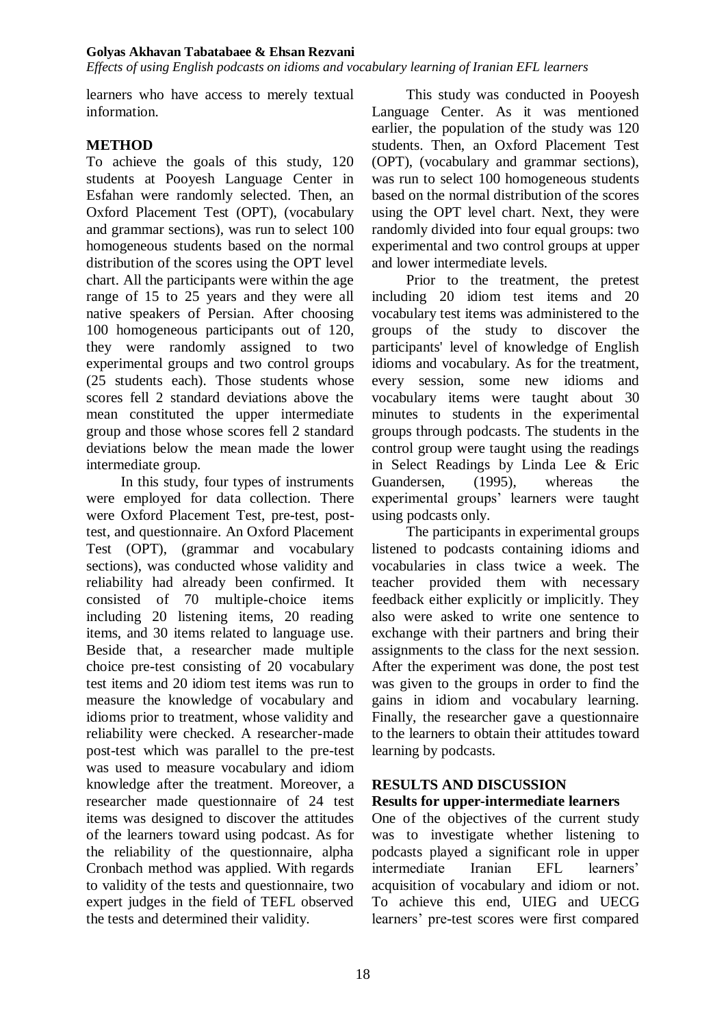*Effects of using English podcasts on idioms and vocabulary learning of Iranian EFL learners*

learners who have access to merely textual information.

# **METHOD**

To achieve the goals of this study, 120 students at Pooyesh Language Center in Esfahan were randomly selected. Then, an Oxford Placement Test (OPT), (vocabulary and grammar sections), was run to select 100 homogeneous students based on the normal distribution of the scores using the OPT level chart. All the participants were within the age range of 15 to 25 years and they were all native speakers of Persian. After choosing 100 homogeneous participants out of 120, they were randomly assigned to two experimental groups and two control groups (25 students each). Those students whose scores fell 2 standard deviations above the mean constituted the upper intermediate group and those whose scores fell 2 standard deviations below the mean made the lower intermediate group.

In this study, four types of instruments were employed for data collection. There were Oxford Placement Test, pre-test, posttest, and questionnaire. An Oxford Placement Test (OPT), (grammar and vocabulary sections), was conducted whose validity and reliability had already been confirmed. It consisted of 70 multiple-choice items including 20 listening items, 20 reading items, and 30 items related to language use. Beside that, a researcher made multiple choice pre-test consisting of 20 vocabulary test items and 20 idiom test items was run to measure the knowledge of vocabulary and idioms prior to treatment, whose validity and reliability were checked. A researcher-made post-test which was parallel to the pre-test was used to measure vocabulary and idiom knowledge after the treatment. Moreover, a researcher made questionnaire of 24 test items was designed to discover the attitudes of the learners toward using podcast. As for the reliability of the questionnaire, alpha Cronbach method was applied. With regards to validity of the tests and questionnaire, two expert judges in the field of TEFL observed the tests and determined their validity.

This study was conducted in Pooyesh Language Center. As it was mentioned earlier, the population of the study was 120 students. Then, an Oxford Placement Test (OPT), (vocabulary and grammar sections), was run to select 100 homogeneous students based on the normal distribution of the scores using the OPT level chart. Next, they were randomly divided into four equal groups: two experimental and two control groups at upper and lower intermediate levels.

Prior to the treatment, the pretest including 20 idiom test items and 20 vocabulary test items was administered to the groups of the study to discover the participants' level of knowledge of English idioms and vocabulary. As for the treatment, every session, some new idioms and vocabulary items were taught about 30 minutes to students in the experimental groups through podcasts. The students in the control group were taught using the readings in Select Readings by Linda Lee & Eric Guandersen, (1995), whereas the experimental groups' learners were taught using podcasts only.

The participants in experimental groups listened to podcasts containing idioms and vocabularies in class twice a week. The teacher provided them with necessary feedback either explicitly or implicitly. They also were asked to write one sentence to exchange with their partners and bring their assignments to the class for the next session. After the experiment was done, the post test was given to the groups in order to find the gains in idiom and vocabulary learning. Finally, the researcher gave a questionnaire to the learners to obtain their attitudes toward learning by podcasts.

# **RESULTS AND DISCUSSION**

# **Results for upper-intermediate learners**

One of the objectives of the current study was to investigate whether listening to podcasts played a significant role in upper intermediate Iranian EFL learners' acquisition of vocabulary and idiom or not. To achieve this end, UIEG and UECG learners' pre-test scores were first compared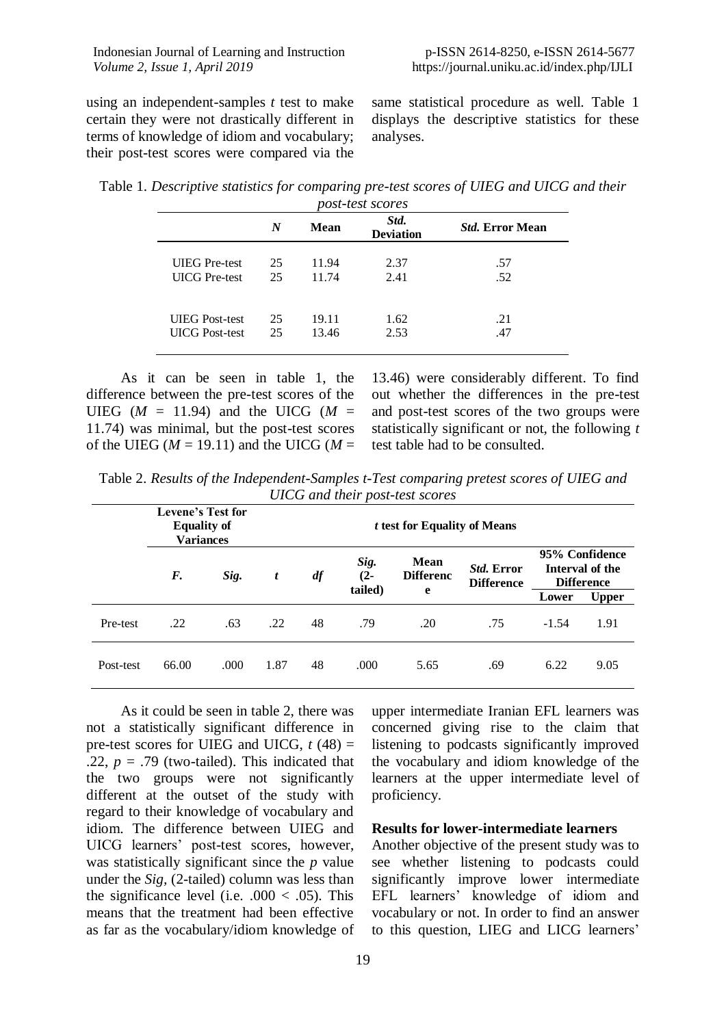using an independent-samples *t* test to make certain they were not drastically different in terms of knowledge of idiom and vocabulary; their post-test scores were compared via the same statistical procedure as well. Table 1 displays the descriptive statistics for these analyses.

| Table 1. Descriptive statistics for comparing pre-test scores of UIEG and UICG and their |  |  |
|------------------------------------------------------------------------------------------|--|--|
|------------------------------------------------------------------------------------------|--|--|

|                       | post-test scores |       |                          |                        |  |  |  |  |
|-----------------------|------------------|-------|--------------------------|------------------------|--|--|--|--|
|                       | N                | Mean  | Std.<br><b>Deviation</b> | <i>Std.</i> Error Mean |  |  |  |  |
| <b>UIEG</b> Pre-test  | 25               | 11.94 | 2.37                     | .57                    |  |  |  |  |
| <b>UICG</b> Pre-test  | 25               | 11.74 | 2.41                     | .52                    |  |  |  |  |
| <b>UIEG</b> Post-test | 25               | 19.11 | 1.62                     | .21                    |  |  |  |  |
| <b>UICG</b> Post-test | 25               | 13.46 | 2.53                     | .47                    |  |  |  |  |

As it can be seen in table 1, the difference between the pre-test scores of the UIEG  $(M = 11.94)$  and the UICG  $(M =$ 11.74) was minimal, but the post-test scores of the UIEG ( $M = 19.11$ ) and the UICG ( $M =$ 

13.46) were considerably different. To find out whether the differences in the pre-test and post-test scores of the two groups were statistically significant or not, the following *t* test table had to be consulted.

|  | Table 2. Results of the Independent-Samples t-Test comparing pretest scores of UIEG and |                                 |  |
|--|-----------------------------------------------------------------------------------------|---------------------------------|--|
|  |                                                                                         | UICG and their post-test scores |  |

|           | <b>Levene's Test for</b><br><b>Equality of</b><br><b>Variances</b> |       |      |    |                           | <i>t</i> test for Equality of Means |                                        |         |                                                        |
|-----------|--------------------------------------------------------------------|-------|------|----|---------------------------|-------------------------------------|----------------------------------------|---------|--------------------------------------------------------|
|           | F.                                                                 | Sig.  | t    | df | Sig.<br>$(2 -$<br>tailed) | <b>Mean</b><br><b>Differenc</b>     | <i>Std.</i> Error<br><b>Difference</b> |         | 95% Confidence<br>Interval of the<br><b>Difference</b> |
|           |                                                                    |       |      |    |                           | e                                   |                                        | Lower   | <b>Upper</b>                                           |
| Pre-test  | .22                                                                | .63   | .22  | 48 | .79                       | .20                                 | .75                                    | $-1.54$ | 1.91                                                   |
| Post-test | 66.00                                                              | .000. | 1.87 | 48 | .000                      | 5.65                                | .69                                    | 6.22    | 9.05                                                   |

As it could be seen in table 2, there was not a statistically significant difference in pre-test scores for UIEG and UICG,  $t(48)$  = .22,  $p = .79$  (two-tailed). This indicated that the two groups were not significantly different at the outset of the study with regard to their knowledge of vocabulary and idiom. The difference between UIEG and UICG learners' post-test scores, however, was statistically significant since the *p* value under the *Sig,* (2-tailed) column was less than the significance level (i.e.  $.000 < .05$ ). This means that the treatment had been effective as far as the vocabulary/idiom knowledge of upper intermediate Iranian EFL learners was concerned giving rise to the claim that listening to podcasts significantly improved the vocabulary and idiom knowledge of the learners at the upper intermediate level of proficiency.

# **Results for lower-intermediate learners**

Another objective of the present study was to see whether listening to podcasts could significantly improve lower intermediate EFL learners' knowledge of idiom and vocabulary or not. In order to find an answer to this question, LIEG and LICG learners'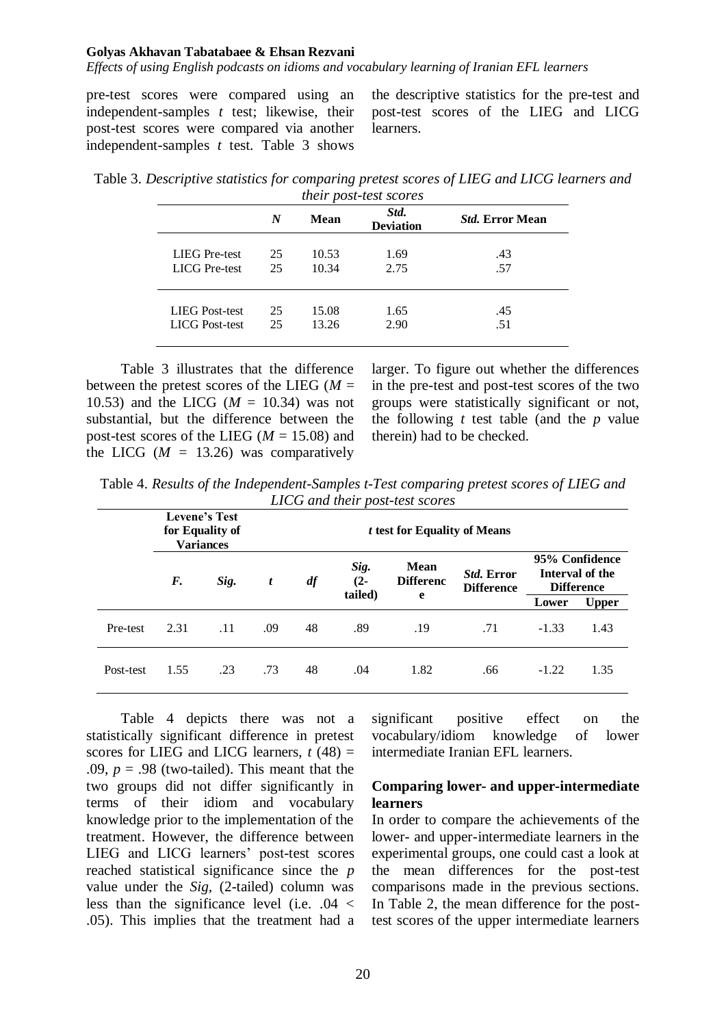*Effects of using English podcasts on idioms and vocabulary learning of Iranian EFL learners*

pre-test scores were compared using an independent-samples *t* test; likewise, their post-test scores were compared via another independent-samples *t* test. Table 3 shows

the descriptive statistics for the pre-test and post-test scores of the LIEG and LICG learners.

Table 3. *Descriptive statistics for comparing pretest scores of LIEG and LICG learners and their post-test scores*

|                       | N  | Mean  | Std.<br><b>Deviation</b> | <i>Std.</i> Error Mean |
|-----------------------|----|-------|--------------------------|------------------------|
| <b>LIEG</b> Pre-test  | 25 | 10.53 | 1.69                     | .43                    |
| <b>LICG</b> Pre-test  | 25 | 10.34 | 2.75                     | .57                    |
| <b>LIEG</b> Post-test | 25 | 15.08 | 1.65                     | .45                    |
| <b>LICG</b> Post-test | 25 | 13.26 | 2.90                     | .51                    |

Table 3 illustrates that the difference between the pretest scores of the LIEG (*M* = 10.53) and the LICG  $(M = 10.34)$  was not substantial, but the difference between the post-test scores of the LIEG  $(M = 15.08)$  and the LICG  $(M = 13.26)$  was comparatively larger. To figure out whether the differences in the pre-test and post-test scores of the two groups were statistically significant or not, the following *t* test table (and the *p* value therein) had to be checked.

| Table 4. Results of the Independent-Samples t-Test comparing pretest scores of LIEG and |
|-----------------------------------------------------------------------------------------|
| LICG and their post-test scores                                                         |

|           |      | <b>Levene's Test</b><br>for Equality of<br><b>Variances</b> |     |    |                           | <i>t</i> test for Equality of Means |                                        |         |                                                        |
|-----------|------|-------------------------------------------------------------|-----|----|---------------------------|-------------------------------------|----------------------------------------|---------|--------------------------------------------------------|
|           | F.   | Sig.                                                        | t   | df | Sig.<br>$(2 -$<br>tailed) | <b>Mean</b><br><b>Differenc</b>     | <i>Std.</i> Error<br><b>Difference</b> |         | 95% Confidence<br>Interval of the<br><b>Difference</b> |
|           |      |                                                             |     |    |                           | e                                   |                                        | Lower   | <b>Upper</b>                                           |
| Pre-test  | 2.31 | .11                                                         | .09 | 48 | .89                       | .19                                 | .71                                    | $-1.33$ | 1.43                                                   |
| Post-test | 1.55 | .23                                                         | .73 | 48 | .04                       | 1.82                                | .66                                    | $-1.22$ | 1.35                                                   |

Table 4 depicts there was not a statistically significant difference in pretest scores for LIEG and LICG learners,  $t(48) =$ .09,  $p = .98$  (two-tailed). This meant that the two groups did not differ significantly in terms of their idiom and vocabulary knowledge prior to the implementation of the treatment. However, the difference between LIEG and LICG learners' post-test scores reached statistical significance since the *p*  value under the *Sig,* (2-tailed) column was less than the significance level (i.e. .04 < .05). This implies that the treatment had a

significant positive effect on the vocabulary/idiom knowledge of lower intermediate Iranian EFL learners.

### **Comparing lower- and upper-intermediate learners**

In order to compare the achievements of the lower- and upper-intermediate learners in the experimental groups, one could cast a look at the mean differences for the post-test comparisons made in the previous sections. In Table 2, the mean difference for the posttest scores of the upper intermediate learners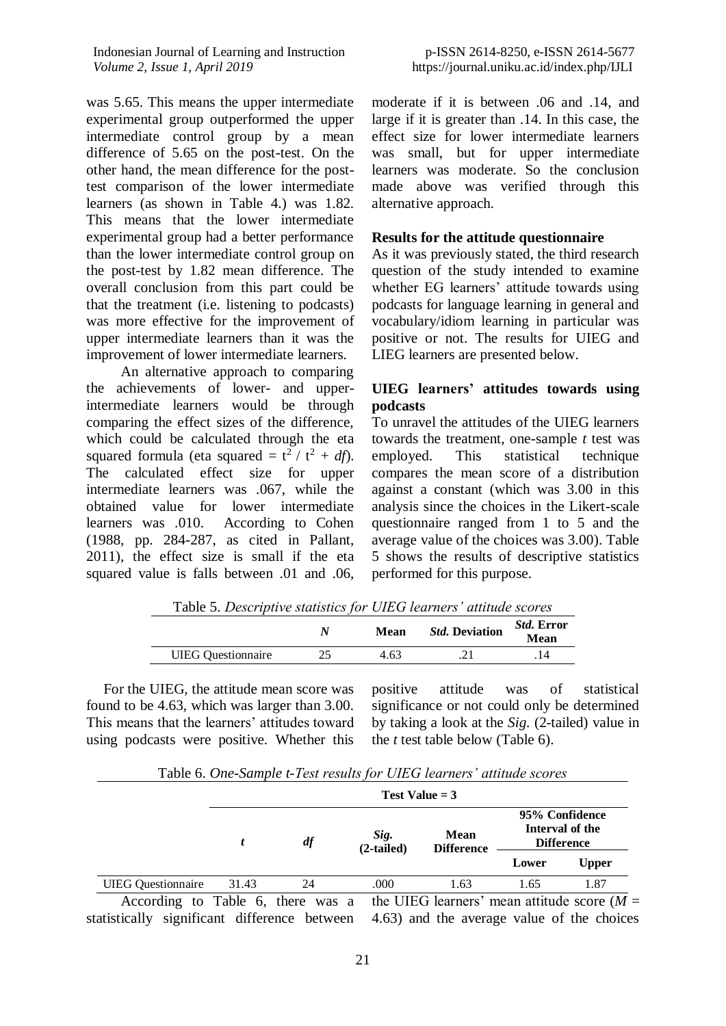Indonesian Journal of Learning and Instruction *Volume 2, Issue 1, April 2019*

was 5.65. This means the upper intermediate experimental group outperformed the upper intermediate control group by a mean difference of 5.65 on the post-test. On the other hand, the mean difference for the posttest comparison of the lower intermediate learners (as shown in Table 4.) was 1.82. This means that the lower intermediate experimental group had a better performance than the lower intermediate control group on the post-test by 1.82 mean difference. The overall conclusion from this part could be that the treatment (i.e. listening to podcasts) was more effective for the improvement of upper intermediate learners than it was the improvement of lower intermediate learners.

An alternative approach to comparing the achievements of lower- and upperintermediate learners would be through comparing the effect sizes of the difference, which could be calculated through the eta squared formula (eta squared  $= t^2 / t^2 + df$ ). The calculated effect size for upper intermediate learners was .067, while the obtained value for lower intermediate learners was .010. According to Cohen (1988, pp. 284-287, as cited in Pallant, 2011), the effect size is small if the eta squared value is falls between .01 and .06, moderate if it is between .06 and .14, and large if it is greater than .14. In this case, the effect size for lower intermediate learners was small, but for upper intermediate learners was moderate. So the conclusion made above was verified through this alternative approach.

# **Results for the attitude questionnaire**

As it was previously stated, the third research question of the study intended to examine whether EG learners' attitude towards using podcasts for language learning in general and vocabulary/idiom learning in particular was positive or not. The results for UIEG and LIEG learners are presented below.

# **UIEG learners' attitudes towards using podcasts**

To unravel the attitudes of the UIEG learners towards the treatment, one-sample *t* test was employed. This statistical technique compares the mean score of a distribution against a constant (which was 3.00 in this analysis since the choices in the Likert-scale questionnaire ranged from 1 to 5 and the average value of the choices was 3.00). Table 5 shows the results of descriptive statistics performed for this purpose.

| Table 5. Descriptive statistics for UIEG learners' attitude scores |    |      |                       |                                  |
|--------------------------------------------------------------------|----|------|-----------------------|----------------------------------|
|                                                                    |    | Mean | <i>Std.</i> Deviation | <i>Std.</i> Error<br><b>Mean</b> |
| <b>UIEG</b> Ouestionnaire                                          | 25 | 4.63 |                       | 14                               |

Table 5. *Descriptive statistics for UIEG learners' attitude scores*

For the UIEG, the attitude mean score was found to be 4.63, which was larger than 3.00. This means that the learners' attitudes toward using podcasts were positive. Whether this

positive attitude was of statistical significance or not could only be determined by taking a look at the *Sig.* (2-tailed) value in the *t* test table below (Table 6).

|                           |       |    | Table 0. One-Sumple t-Test results for OIEO learners attitude scores |                                  |       |                                                        |
|---------------------------|-------|----|----------------------------------------------------------------------|----------------------------------|-------|--------------------------------------------------------|
|                           |       |    |                                                                      | Test Value $=$ 3                 |       |                                                        |
|                           |       | df | Sig.<br>$(2-tailed)$                                                 | <b>Mean</b><br><b>Difference</b> |       | 95% Confidence<br>Interval of the<br><b>Difference</b> |
|                           |       |    |                                                                      |                                  | Lower | <b>Upper</b>                                           |
| <b>UIEG</b> Questionnaire | 31.43 | 24 | .000                                                                 | 1.63                             | 1.65  | 1.87                                                   |

Table 6. *One-Sample t-Test results for UIEG learners' attitude scores*

According to Table 6, there was a the UIEG learners' mean attitude score  $(M =$ statistically significant difference between 4.63) and the average value of the choices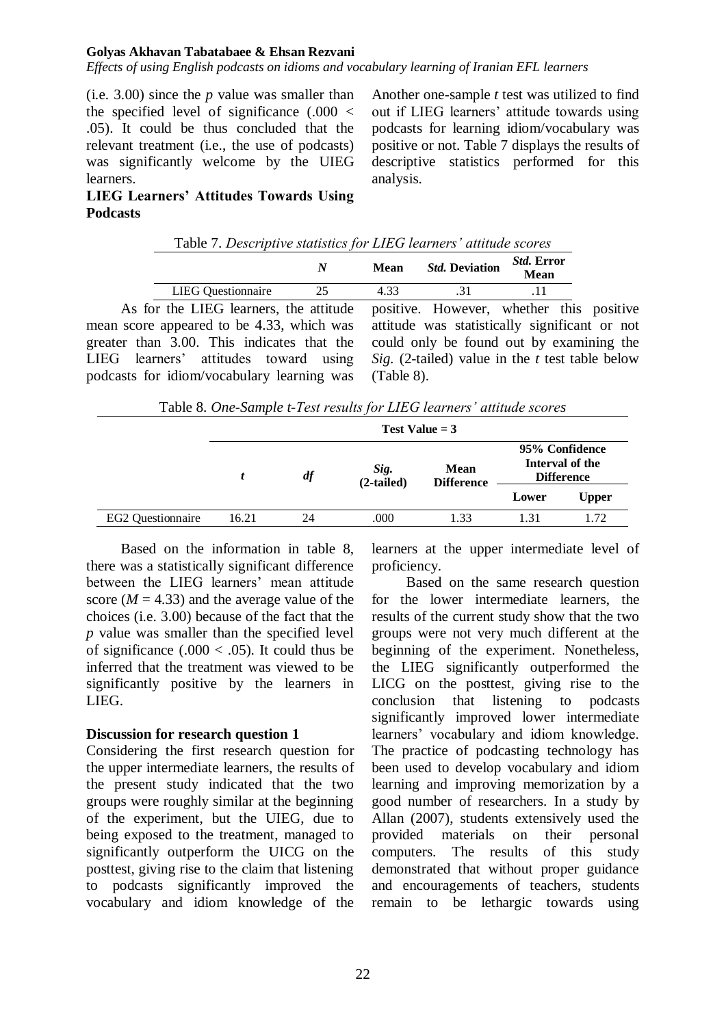*Effects of using English podcasts on idioms and vocabulary learning of Iranian EFL learners*

(i.e. 3.00) since the *p* value was smaller than the specified level of significance  $(.000 <$ .05). It could be thus concluded that the relevant treatment (i.e., the use of podcasts) was significantly welcome by the UIEG learners.

Another one-sample *t* test was utilized to find out if LIEG learners' attitude towards using podcasts for learning idiom/vocabulary was positive or not. Table 7 displays the results of descriptive statistics performed for this analysis.

# **LIEG Learners' Attitudes Towards Using Podcasts**

|  | Table 7. Descriptive statistics for LIEG learners' attitude scores |      |                       |                           |
|--|--------------------------------------------------------------------|------|-----------------------|---------------------------|
|  |                                                                    | Mean | <b>Std. Deviation</b> | <i>Std.</i> Error<br>Mean |

LIEG Questionnaire 25 4.33 .31 .11 As for the LIEG learners, the attitude mean score appeared to be 4.33, which was greater than 3.00. This indicates that the LIEG learners' attitudes toward using podcasts for idiom/vocabulary learning was

positive. However, whether this positive attitude was statistically significant or not could only be found out by examining the *Sig.* (2-tailed) value in the *t* test table below (Table 8).

Table 8. *One-Sample t-Test results for LIEG learners' attitude scores*

|                   | Test Value $=$ 3 |    |                      |                                  |                                                        |              |  |  |  |  |
|-------------------|------------------|----|----------------------|----------------------------------|--------------------------------------------------------|--------------|--|--|--|--|
|                   |                  | df | Sig.<br>$(2-tailed)$ | <b>Mean</b><br><b>Difference</b> | 95% Confidence<br>Interval of the<br><b>Difference</b> |              |  |  |  |  |
|                   |                  |    |                      |                                  | Lower                                                  | <b>Upper</b> |  |  |  |  |
| EG2 Questionnaire | 16.21            | 24 | .000                 | 1.33                             | 1.31                                                   | 1.72         |  |  |  |  |

Based on the information in table 8, there was a statistically significant difference between the LIEG learners' mean attitude score  $(M = 4.33)$  and the average value of the choices (i.e. 3.00) because of the fact that the *p* value was smaller than the specified level of significance (.000  $<$  .05). It could thus be inferred that the treatment was viewed to be significantly positive by the learners in LIEG.

# **Discussion for research question 1**

Considering the first research question for the upper intermediate learners, the results of the present study indicated that the two groups were roughly similar at the beginning of the experiment, but the UIEG, due to being exposed to the treatment, managed to significantly outperform the UICG on the posttest, giving rise to the claim that listening to podcasts significantly improved the vocabulary and idiom knowledge of the

learners at the upper intermediate level of proficiency.

Based on the same research question for the lower intermediate learners, the results of the current study show that the two groups were not very much different at the beginning of the experiment. Nonetheless, the LIEG significantly outperformed the LICG on the posttest, giving rise to the conclusion that listening to podcasts significantly improved lower intermediate learners' vocabulary and idiom knowledge. The practice of podcasting technology has been used to develop vocabulary and idiom learning and improving memorization by a good number of researchers. In a study by Allan (2007), students extensively used the provided materials on their personal computers. The results of this study demonstrated that without proper guidance and encouragements of teachers, students remain to be lethargic towards using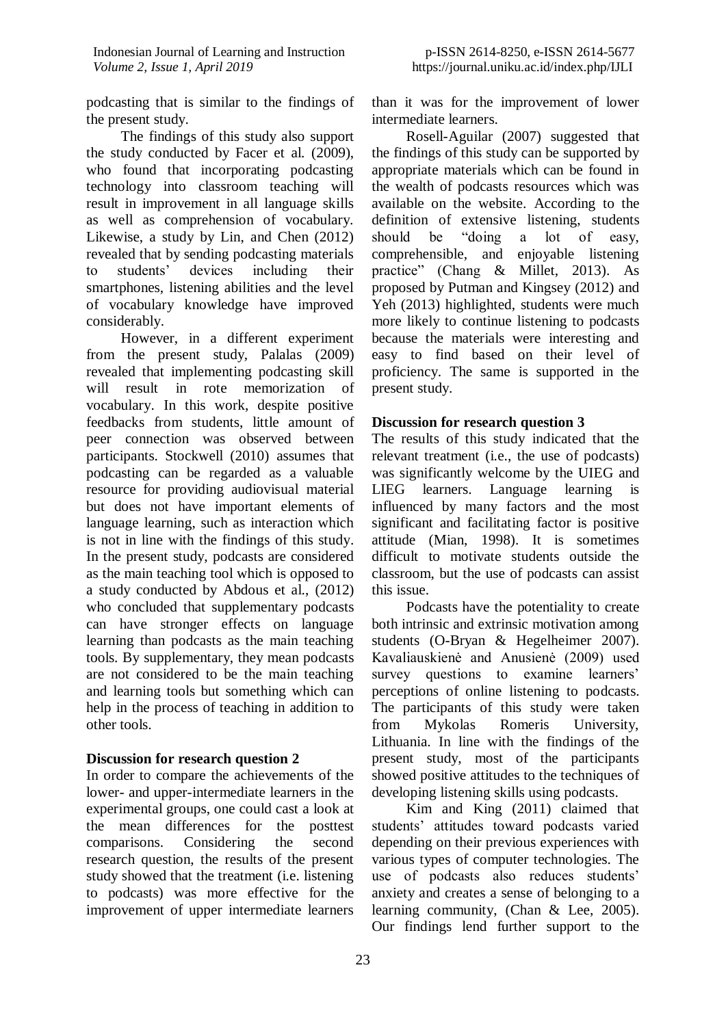podcasting that is similar to the findings of the present study.

The findings of this study also support the study conducted by Facer et al. (2009), who found that incorporating podcasting technology into classroom teaching will result in improvement in all language skills as well as comprehension of vocabulary. Likewise, a study by Lin, and Chen (2012) revealed that by sending podcasting materials to students' devices including their smartphones, listening abilities and the level of vocabulary knowledge have improved considerably.

However, in a different experiment from the present study, Palalas (2009) revealed that implementing podcasting skill will result in rote memorization of vocabulary. In this work, despite positive feedbacks from students, little amount of peer connection was observed between participants. Stockwell (2010) assumes that podcasting can be regarded as a valuable resource for providing audiovisual material but does not have important elements of language learning, such as interaction which is not in line with the findings of this study. In the present study, podcasts are considered as the main teaching tool which is opposed to a study conducted by Abdous et al., (2012) who concluded that supplementary podcasts can have stronger effects on language learning than podcasts as the main teaching tools. By supplementary, they mean podcasts are not considered to be the main teaching and learning tools but something which can help in the process of teaching in addition to other tools.

# **Discussion for research question 2**

In order to compare the achievements of the lower- and upper-intermediate learners in the experimental groups, one could cast a look at the mean differences for the posttest comparisons. Considering the second research question, the results of the present study showed that the treatment (i.e. listening to podcasts) was more effective for the improvement of upper intermediate learners

than it was for the improvement of lower intermediate learners.

Rosell-Aguilar (2007) suggested that the findings of this study can be supported by appropriate materials which can be found in the wealth of podcasts resources which was available on the website. According to the definition of extensive listening, students should be "doing a lot of easy, comprehensible, and enjoyable listening practice" (Chang & Millet, 2013). As proposed by Putman and Kingsey (2012) and Yeh (2013) highlighted, students were much more likely to continue listening to podcasts because the materials were interesting and easy to find based on their level of proficiency. The same is supported in the present study.

# **Discussion for research question 3**

The results of this study indicated that the relevant treatment (i.e., the use of podcasts) was significantly welcome by the UIEG and LIEG learners. Language learning is influenced by many factors and the most significant and facilitating factor is positive attitude (Mian, 1998). It is sometimes difficult to motivate students outside the classroom, but the use of podcasts can assist this issue.

Podcasts have the potentiality to create both intrinsic and extrinsic motivation among students (O-Bryan & Hegelheimer 2007). Kavaliauskienė and Anusienė (2009) used survey questions to examine learners' perceptions of online listening to podcasts. The participants of this study were taken from Mykolas Romeris University, Lithuania. In line with the findings of the present study, most of the participants showed positive attitudes to the techniques of developing listening skills using podcasts.

Kim and King (2011) claimed that students' attitudes toward podcasts varied depending on their previous experiences with various types of computer technologies. The use of podcasts also reduces students' anxiety and creates a sense of belonging to a learning community, (Chan & Lee, 2005). Our findings lend further support to the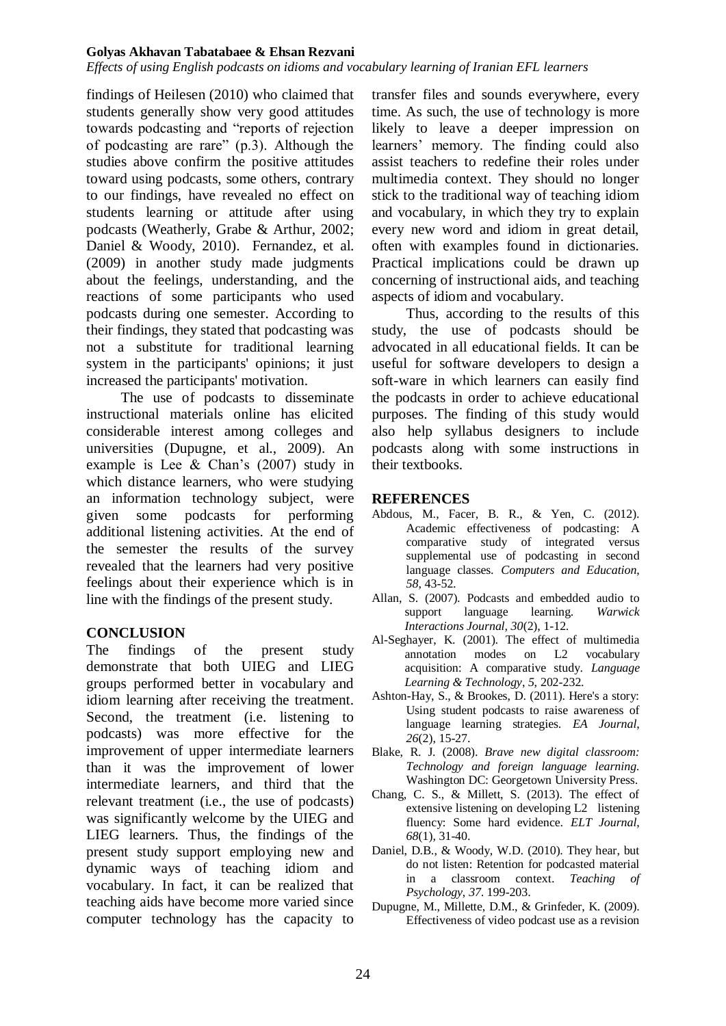*Effects of using English podcasts on idioms and vocabulary learning of Iranian EFL learners*

findings of Heilesen (2010) who claimed that students generally show very good attitudes towards podcasting and "reports of rejection of podcasting are rare" (p.3). Although the studies above confirm the positive attitudes toward using podcasts, some others, contrary to our findings, have revealed no effect on students learning or attitude after using podcasts (Weatherly, Grabe & Arthur, 2002; Daniel & Woody, 2010). Fernandez, et al. (2009) in another study made judgments about the feelings, understanding, and the reactions of some participants who used podcasts during one semester. According to their findings, they stated that podcasting was not a substitute for traditional learning system in the participants' opinions; it just increased the participants' motivation.

The use of podcasts to disseminate instructional materials online has elicited considerable interest among colleges and universities (Dupugne, et al., 2009). An example is Lee & Chan's (2007) study in which distance learners, who were studying an information technology subject, were given some podcasts for performing additional listening activities. At the end of the semester the results of the survey revealed that the learners had very positive feelings about their experience which is in line with the findings of the present study.

# **CONCLUSION**

The findings of the present study demonstrate that both UIEG and LIEG groups performed better in vocabulary and idiom learning after receiving the treatment. Second, the treatment (i.e. listening to podcasts) was more effective for the improvement of upper intermediate learners than it was the improvement of lower intermediate learners, and third that the relevant treatment (i.e., the use of podcasts) was significantly welcome by the UIEG and LIEG learners. Thus, the findings of the present study support employing new and dynamic ways of teaching idiom and vocabulary. In fact, it can be realized that teaching aids have become more varied since computer technology has the capacity to

transfer files and sounds everywhere, every time. As such, the use of technology is more likely to leave a deeper impression on learners' memory. The finding could also assist teachers to redefine their roles under multimedia context. They should no longer stick to the traditional way of teaching idiom and vocabulary, in which they try to explain every new word and idiom in great detail, often with examples found in dictionaries. Practical implications could be drawn up concerning of instructional aids, and teaching aspects of idiom and vocabulary.

Thus, according to the results of this study, the use of podcasts should be advocated in all educational fields. It can be useful for software developers to design a soft-ware in which learners can easily find the podcasts in order to achieve educational purposes. The finding of this study would also help syllabus designers to include podcasts along with some instructions in their textbooks.

# **REFERENCES**

- Abdous, M., Facer, B. R., & Yen, C. (2012). Academic effectiveness of podcasting: A comparative study of integrated versus supplemental use of podcasting in second language classes. *Computers and Education*, *58*, 43-52.
- Allan, S. (2007). Podcasts and embedded audio to support language learning. *Warwick Interactions Journal, 30*(2), 1-12.
- Al-Seghayer, K. (2001). The effect of multimedia annotation modes on L2 vocabulary acquisition: A comparative study. *Language Learning & Technology*, *5*, 202-232.
- Ashton-Hay, S., & Brookes, D. (2011). Here's a story: Using student podcasts to raise awareness of language learning strategies. *EA Journal*, *26*(2), 15-27.
- Blake, R. J. (2008). *Brave new digital classroom: Technology and foreign language learning.*  Washington DC: Georgetown University Press.
- Chang, C. S., & Millett, S. (2013). The effect of extensive listening on developing L2 listening fluency: Some hard evidence. *ELT Journal*, *68*(1), 31-40.
- Daniel, D.B., & Woody, W.D. (2010). They hear, but do not listen: Retention for podcasted material in a classroom context. *Teaching of Psychology*, *37*. 199-203.
- Dupugne, M., Millette, D.M., & Grinfeder, K. (2009). Effectiveness of video podcast use as a revision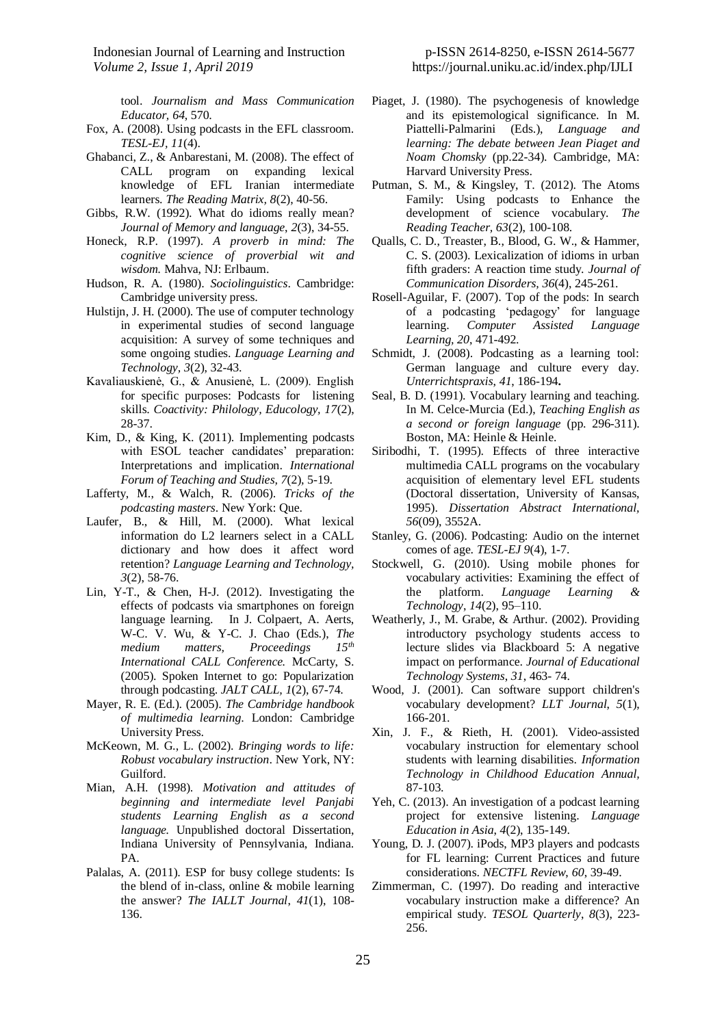tool. *Journalism and Mass Communication Educator, 64*, 570.

- Fox, A. (2008). Using podcasts in the EFL classroom. *TESL-EJ, 11*(4).
- Ghabanci, Z., & Anbarestani, M. (2008). The effect of CALL program on expanding lexical knowledge of EFL Iranian intermediate learners. *The Reading Matrix, 8*(2), 40-56.
- Gibbs, R.W. (1992). What do idioms really mean? *Journal of Memory and language*, *2*(3), 34-55.
- Honeck, R.P. (1997). *A proverb in mind: The cognitive science of proverbial wit and wisdom.* Mahva, NJ: Erlbaum.
- Hudson, R. A. (1980). *Sociolinguistics*. Cambridge: Cambridge university press.
- Hulstijn, J. H. (2000). The use of computer technology in experimental studies of second language acquisition: A survey of some techniques and some ongoing studies. *Language Learning and Technology, 3*(2), 32-43.
- Kavaliauskienė, G., & Anusienė, L. (2009). English for specific purposes: Podcasts for listening skills. *Coactivity: Philology, Educology, 17*(2), 28-37.
- Kim, D., & King, K. (2011). Implementing podcasts with ESOL teacher candidates' preparation: Interpretations and implication. *International Forum of Teaching and Studies, 7*(2)*,* 5-19.
- Lafferty, M., & Walch, R. (2006). *Tricks of the podcasting masters*. New York: Que.
- Laufer, B., & Hill, M. (2000). What lexical information do L2 learners select in a CALL dictionary and how does it affect word retention? *Language Learning and Technology, 3*(2), 58-76.
- Lin, Y-T., & Chen, H-J. (2012). Investigating the effects of podcasts via smartphones on foreign language learning. In J. Colpaert, A. Aerts, W-C. V. Wu, & Y-C. J. Chao (Eds.), *The medium matters, Proceedings 15th International CALL Conference. McCarty, S.* (2005). Spoken Internet to go: Popularization through podcasting. *JALT CALL, 1*(2), 67-74.
- Mayer, R. E. (Ed.). (2005). *The Cambridge handbook of multimedia learning*. London: Cambridge University Press.
- McKeown, M. G., L. (2002). *Bringing words to life: Robust vocabulary instruction*. New York, NY: Guilford.
- Mian, A.H. (1998). *Motivation and attitudes of beginning and intermediate level Panjabi students Learning English as a second language.* Unpublished doctoral Dissertation, Indiana University of Pennsylvania, Indiana. PA.
- Palalas, A. (2011). ESP for busy college students: Is the blend of in-class, online & mobile learning the answer? *The IALLT Journal*, *41*(1), 108- 136.
- Piaget, J. (1980). The psychogenesis of knowledge and its epistemological significance. In M. Piattelli-Palmarini (Eds.), *Language and learning: The debate between Jean Piaget and Noam Chomsky* (pp.22-34). Cambridge, MA: Harvard University Press.
- Putman, S. M., & Kingsley, T. (2012). The Atoms Family: Using podcasts to Enhance the development of science vocabulary. *The Reading Teacher, 63*(2), 100-108.
- Qualls, C. D., Treaster, B., Blood, G. W., & Hammer, C. S. (2003). Lexicalization of idioms in urban fifth graders: A reaction time study. *Journal of Communication Disorders, 36*(4), 245-261.
- Rosell-Aguilar, F. (2007). Top of the pods: In search of a podcasting 'pedagogy' for language learning. *Computer Assisted Language Learning, 20*, 471-492.
- Schmidt, J. (2008). Podcasting as a learning tool: German language and culture every day. *Unterrichtspraxis*, *41*, 186-194**.**
- Seal, B. D. (1991). Vocabulary learning and teaching. In M. Celce-Murcia (Ed.), *Teaching English as a second or foreign language* (pp. 296-311). Boston, MA: Heinle & Heinle.
- Siribodhi, T. (1995). Effects of three interactive multimedia CALL programs on the vocabulary acquisition of elementary level EFL students (Doctoral dissertation, University of Kansas, 1995). *Dissertation Abstract International, 56*(09), 3552A.
- Stanley, G. (2006). Podcasting: Audio on the internet comes of age. *TESL-EJ 9*(4), 1-7.
- Stockwell, G. (2010). Using mobile phones for vocabulary activities: Examining the effect of the platform. *Language Learning & Technology*, *14*(2), 95–110.
- Weatherly, J., M. Grabe, & Arthur. (2002). Providing introductory psychology students access to lecture slides via Blackboard 5: A negative impact on performance. *Journal of Educational Technology Systems*, *31*, 463- 74.
- Wood, J. (2001). Can software support children's vocabulary development? *LLT Journal*, *5*(1), 166-201.
- Xin, J. F., & Rieth, H. (2001). Video-assisted vocabulary instruction for elementary school students with learning disabilities. *Information Technology in Childhood Education Annual,* 87-103.
- Yeh, C. (2013). An investigation of a podcast learning project for extensive listening. *Language Education in Asia*, *4*(2), 135-149.
- Young, D. J. (2007). iPods, MP3 players and podcasts for FL learning: Current Practices and future considerations. *NECTFL Review*, *60*, 39-49.
- Zimmerman, C. (1997). Do reading and interactive vocabulary instruction make a difference? An empirical study. *TESOL Quarterly*, *8*(3), 223- 256.